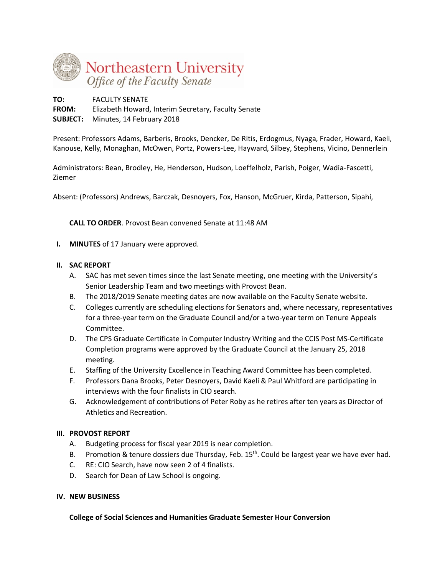

**TO:** FACULTY SENATE **FROM:** Elizabeth Howard, Interim Secretary, Faculty Senate **SUBJECT:** Minutes, 14 February 2018

Present: Professors Adams, Barberis, Brooks, Dencker, De Ritis, Erdogmus, Nyaga, Frader, Howard, Kaeli, Kanouse, Kelly, Monaghan, McOwen, Portz, Powers-Lee, Hayward, Silbey, Stephens, Vicino, Dennerlein

Administrators: Bean, Brodley, He, Henderson, Hudson, Loeffelholz, Parish, Poiger, Wadia-Fascetti, Ziemer

Absent: (Professors) Andrews, Barczak, Desnoyers, Fox, Hanson, McGruer, Kirda, Patterson, Sipahi,

**CALL TO ORDER**. Provost Bean convened Senate at 11:48 AM

- **I. MINUTES** of 17 January were approved.
- **II. SAC REPORT**
	- A. SAC has met seven times since the last Senate meeting, one meeting with the University's Senior Leadership Team and two meetings with Provost Bean.
	- B. The 2018/2019 Senate meeting dates are now available on the Faculty Senate website.
	- C. Colleges currently are scheduling elections for Senators and, where necessary, representatives for a three-year term on the Graduate Council and/or a two-year term on Tenure Appeals Committee.
	- D. The CPS Graduate Certificate in Computer Industry Writing and the CCIS Post MS-Certificate Completion programs were approved by the Graduate Council at the January 25, 2018 meeting.
	- E. Staffing of the University Excellence in Teaching Award Committee has been completed.
	- F. Professors Dana Brooks, Peter Desnoyers, David Kaeli & Paul Whitford are participating in interviews with the four finalists in CIO search.
	- G. Acknowledgement of contributions of Peter Roby as he retires after ten years as Director of Athletics and Recreation.

# **III. PROVOST REPORT**

- A. Budgeting process for fiscal year 2019 is near completion.
- B. Promotion & tenure dossiers due Thursday, Feb.  $15<sup>th</sup>$ . Could be largest year we have ever had.
- C. RE: CIO Search, have now seen 2 of 4 finalists.
- D. Search for Dean of Law School is ongoing.

# **IV. NEW BUSINESS**

**College of Social Sciences and Humanities Graduate Semester Hour Conversion**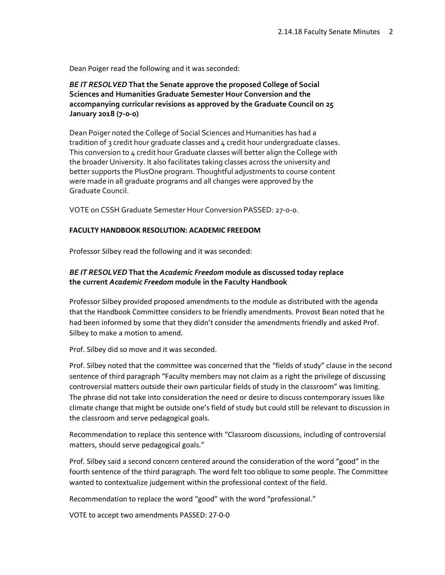Dean Poiger read the following and it was seconded:

*BE IT RESOLVED* **That the Senate approve the proposed College of Social Sciences and Humanities Graduate Semester Hour Conversion and the accompanying curricular revisions as approved by the Graduate Council on 25 January 2018 (7-0-0)**

Dean Poiger noted the College of Social Sciences and Humanities has had a tradition of 3 credit hour graduate classes and 4 credit hour undergraduate classes. This conversion to 4 credit hour Graduate classes will better align the College with the broader University. It also facilitates taking classes across the university and better supports the PlusOne program. Thoughtful adjustments to course content were made in all graduate programs and all changes were approved by the Graduate Council.

VOTE on CSSH Graduate Semester Hour Conversion PASSED: 27-0-0.

### **FACULTY HANDBOOK RESOLUTION: ACADEMIC FREEDOM**

Professor Silbey read the following and it was seconded:

# *BE IT RESOLVED* **That the** *Academic Freedom* **module as discussed today replace the current** *Academic Freedom* **module in the Faculty Handbook**

Professor Silbey provided proposed amendments to the module as distributed with the agenda that the Handbook Committee considers to be friendly amendments. Provost Bean noted that he had been informed by some that they didn't consider the amendments friendly and asked Prof. Silbey to make a motion to amend.

Prof. Silbey did so move and it was seconded.

Prof. Silbey noted that the committee was concerned that the "fields of study" clause in the second sentence of third paragraph "Faculty members may not claim as a right the privilege of discussing controversial matters outside their own particular fields of study in the classroom" was limiting. The phrase did not take into consideration the need or desire to discuss contemporary issues like climate change that might be outside one's field of study but could still be relevant to discussion in the classroom and serve pedagogical goals.

Recommendation to replace this sentence with "Classroom discussions, including of controversial matters, should serve pedagogical goals."

Prof. Silbey said a second concern centered around the consideration of the word "good" in the fourth sentence of the third paragraph. The word felt too oblique to some people. The Committee wanted to contextualize judgement within the professional context of the field.

Recommendation to replace the word "good" with the word "professional."

VOTE to accept two amendments PASSED: 27-0-0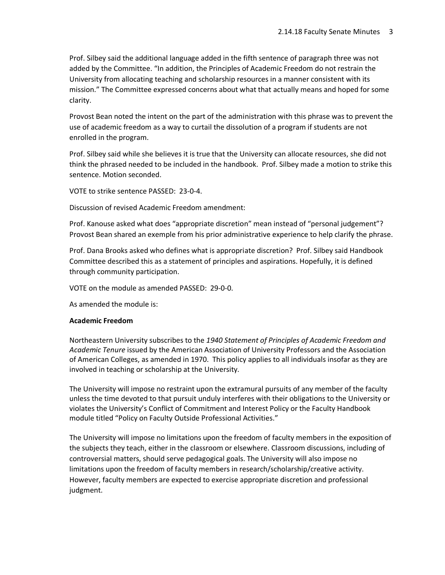Prof. Silbey said the additional language added in the fifth sentence of paragraph three was not added by the Committee. "In addition, the Principles of Academic Freedom do not restrain the University from allocating teaching and scholarship resources in a manner consistent with its mission." The Committee expressed concerns about what that actually means and hoped for some clarity.

Provost Bean noted the intent on the part of the administration with this phrase was to prevent the use of academic freedom as a way to curtail the dissolution of a program if students are not enrolled in the program.

Prof. Silbey said while she believes it is true that the University can allocate resources, she did not think the phrased needed to be included in the handbook. Prof. Silbey made a motion to strike this sentence. Motion seconded.

VOTE to strike sentence PASSED: 23-0-4.

Discussion of revised Academic Freedom amendment:

Prof. Kanouse asked what does "appropriate discretion" mean instead of "personal judgement"? Provost Bean shared an exemple from his prior administrative experience to help clarify the phrase.

Prof. Dana Brooks asked who defines what is appropriate discretion? Prof. Silbey said Handbook Committee described this as a statement of principles and aspirations. Hopefully, it is defined through community participation.

VOTE on the module as amended PASSED: 29-0-0.

As amended the module is:

### **Academic Freedom**

Northeastern University subscribes to the *1940 Statement of Principles of Academic Freedom and Academic Tenure* issued by the American Association of University Professors and the Association of American Colleges, as amended in 1970. This policy applies to all individuals insofar as they are involved in teaching or scholarship at the University.

The University will impose no restraint upon the extramural pursuits of any member of the faculty unless the time devoted to that pursuit unduly interferes with their obligations to the University or violates the University's Conflict of Commitment and Interest Policy or the Faculty Handbook module titled "Policy on Faculty Outside Professional Activities."

The University will impose no limitations upon the freedom of faculty members in the exposition of the subjects they teach, either in the classroom or elsewhere. Classroom discussions, including of controversial matters, should serve pedagogical goals. The University will also impose no limitations upon the freedom of faculty members in research/scholarship/creative activity. However, faculty members are expected to exercise appropriate discretion and professional judgment.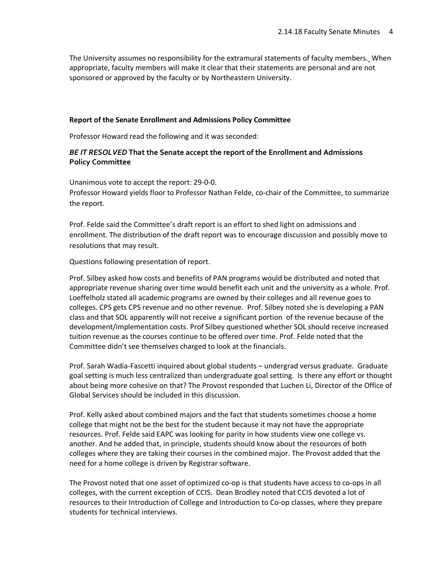The University assumes no responsibility for the extramural statements of faculty members. When appropriate, faculty members will make it clear that their statements are personal and are not sponsored or approved by the faculty or by Northeastern University.

#### **Report of the Senate Enrollment and Admissions Policy Committee**

Professor Howard read the following and it was seconded:

# *BE IT RESOLVED* **That the Senate accept the report of the Enrollment and Admissions Policy Committee**

Unanimous vote to accept the report: 29-0-0. Professor Howard yields floor to Professor Nathan Felde, co-chair of the Committee, to summarize the report.

Prof. Felde said the Committee's draft report is an effort to shed light on admissions and enrollment. The distribution of the draft report was to encourage discussion and possibly move to resolutions that may result.

Questions following presentation of report.

Prof. Silbey asked how costs and benefits of PAN programs would be distributed and noted that appropriate revenue sharing over time would benefit each unit and the university as a whole. Prof. Loeffelholz stated all academic programs are owned by their colleges and all revenue goes to colleges. CPS gets CPS revenue and no other revenue. Prof. Silbey noted she is developing a PAN class and that SOL apparently will not receive a significant portion of the revenue because of the development/implementation costs. Prof Silbey questioned whether SOL should receive increased tuition revenue as the courses continue to be offered over time. Prof. Felde noted that the Committee didn't see themselves charged to look at the financials.

Prof. Sarah Wadia-Fascetti inquired about global students – undergrad versus graduate. Graduate goal setting is much less centralized than undergraduate goal setting. Is there any effort or thought about being more cohesive on that? The Provost responded that Luchen Li, Director of the Office of Global Services should be included in this discussion.

Prof. Kelly asked about combined majors and the fact that students sometimes choose a home college that might not be the best for the student because it may not have the appropriate resources. Prof. Felde said EAPC was looking for parity in how students view one college vs. another. And he added that, in principle, students should know about the resources of both colleges where they are taking their courses in the combined major. The Provost added that the need for a home college is driven by Registrar software.

The Provost noted that one asset of optimized co-op is that students have access to co-ops in all colleges, with the current exception of CCIS. Dean Brodley noted that CCIS devoted a lot of resources to their Introduction of College and Introduction to Co-op classes, where they prepare students for technical interviews.